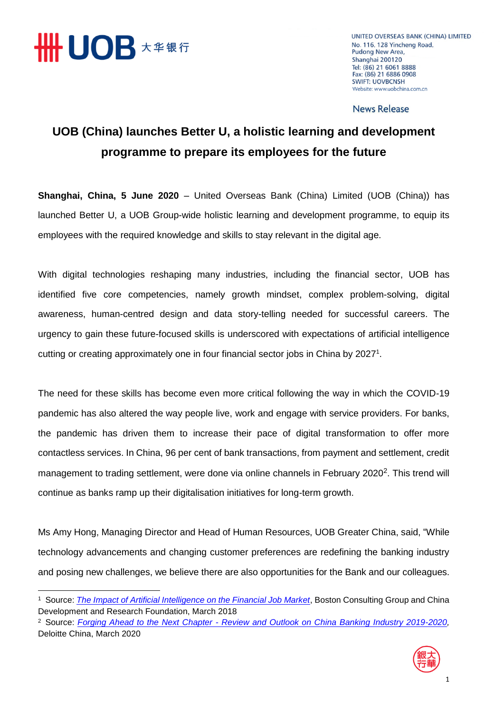

**.** 

UNITED OVERSEAS BANK (CHINA) LIMITED No. 116, 128 Yincheng Road, Pudong New Area, Shanghai 200120 Tel: (86) 21 6061 8888 Fax: (86) 21 6886 0908 **SWIFT: UOVBCNSH** Website: www.uobchina.com.cn

**News Release** 

## **UOB (China) launches Better U, a holistic learning and development programme to prepare its employees for the future**

**Shanghai, China, 5 June 2020** – United Overseas Bank (China) Limited (UOB (China)) has launched Better U, a UOB Group-wide holistic learning and development programme, to equip its employees with the required knowledge and skills to stay relevant in the digital age.

With digital technologies reshaping many industries, including the financial sector, UOB has identified five core competencies, namely growth mindset, complex problem-solving, digital awareness, human-centred design and data story-telling needed for successful careers. The urgency to gain these future-focused skills is underscored with expectations of artificial intelligence cutting or creating approximately one in four financial sector jobs in China by 2027<sup>1</sup>.

The need for these skills has become even more critical following the way in which the COVID-19 pandemic has also altered the way people live, work and engage with service providers. For banks, the pandemic has driven them to increase their pace of digital transformation to offer more contactless services. In China, 96 per cent of bank transactions, from payment and settlement, credit management to trading settlement, were done via online channels in February 2020<sup>2</sup>. This trend will continue as banks ramp up their digitalisation initiatives for long-term growth.

Ms Amy Hong, Managing Director and Head of Human Resources, UOB Greater China, said, "While technology advancements and changing customer preferences are redefining the banking industry and posing new challenges, we believe there are also opportunities for the Bank and our colleagues.

<sup>2</sup> Source: *Forging Ahead to the Next Chapter - [Review and Outlook on China Banking Industry 2019-2020,](https://www2.deloitte.com/cn/en/pages/financial-services/articles/outlook-on-china-banking-industry-2020.html)*  Deloitte China, March 2020



<sup>&</sup>lt;sup>1</sup> Source: *[The Impact of Artificial Intelligence on the Financial Job Market](https://image-src.bcg.com/Images/BCG-CDRF-The-Impact-of-AI-on-the-Financial-Job-Market_Mar%202018_ENG_tcm9-187843.pdf)*, Boston Consulting Group and China Development and Research Foundation, March 2018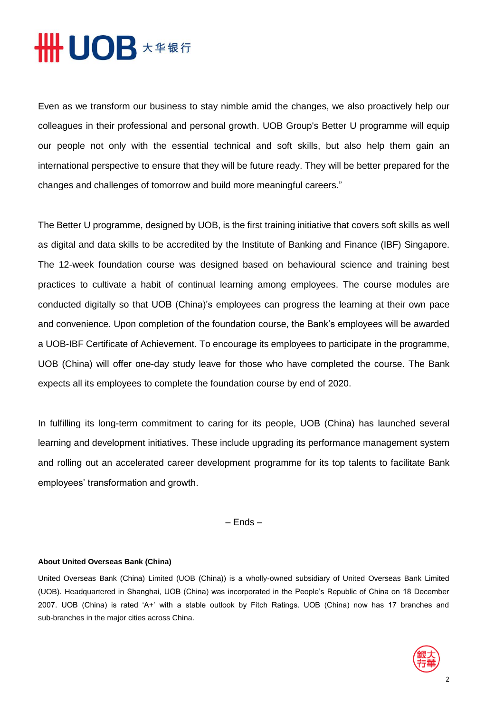## **# UOB 大华银行**

Even as we transform our business to stay nimble amid the changes, we also proactively help our colleagues in their professional and personal growth. UOB Group's Better U programme will equip our people not only with the essential technical and soft skills, but also help them gain an international perspective to ensure that they will be future ready. They will be better prepared for the changes and challenges of tomorrow and build more meaningful careers."

The Better U programme, designed by UOB, is the first training initiative that covers soft skills as well as digital and data skills to be accredited by the Institute of Banking and Finance (IBF) Singapore. The 12-week foundation course was designed based on behavioural science and training best practices to cultivate a habit of continual learning among employees. The course modules are conducted digitally so that UOB (China)'s employees can progress the learning at their own pace and convenience. Upon completion of the foundation course, the Bank's employees will be awarded a UOB-IBF Certificate of Achievement. To encourage its employees to participate in the programme, UOB (China) will offer one-day study leave for those who have completed the course. The Bank expects all its employees to complete the foundation course by end of 2020.

In fulfilling its long-term commitment to caring for its people, UOB (China) has launched several learning and development initiatives. These include upgrading its performance management system and rolling out an accelerated career development programme for its top talents to facilitate Bank employees' transformation and growth.

– Ends –

## **About United Overseas Bank (China)**

United Overseas Bank (China) Limited (UOB (China)) is a wholly-owned subsidiary of United Overseas Bank Limited (UOB). Headquartered in Shanghai, UOB (China) was incorporated in the People's Republic of China on 18 December 2007. UOB (China) is rated 'A+' with a stable outlook by Fitch Ratings. UOB (China) now has 17 branches and sub-branches in the major cities across China.